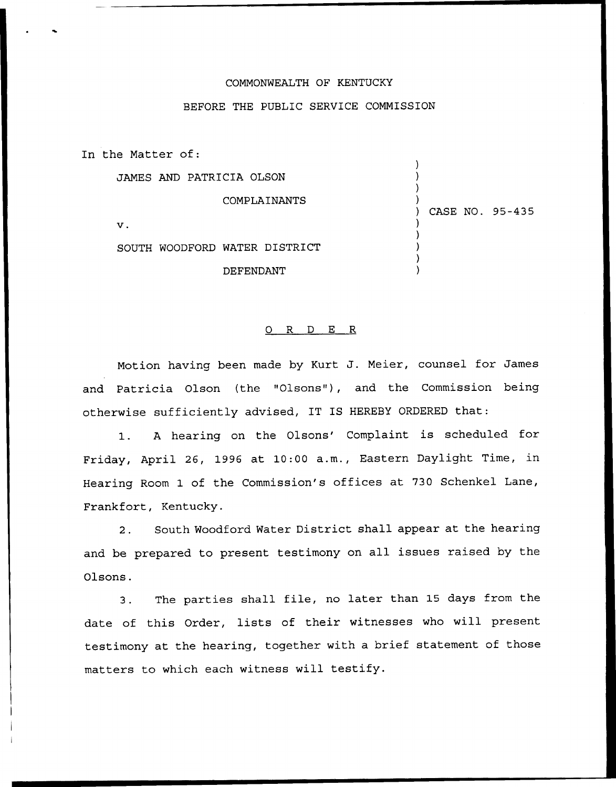## COMMONWEALTH OF KENTUCKY

## BEFORE THE PUBLIC SERVICE COMMISSION

In the Natter of:

) JAMES AND PATRICIA OLSON ) ) COMPLAINANTS ) ) CASE NO. 95-435  $\mathbf v$ . ) ) SOUTH WOODFORD WATER DISTRICT ) ) DEFENDANT )

## 0 R <sup>D</sup> E R

Notion having been made by Kurt J. Meier, counsel for James and Patricia Olson (the "Olsons"), and the Commission being otherwise sufficiently advised, IT IS HEREBY ORDERED that:

1. A hearing on the Olsons' Complaint is scheduled for Friday, April 26, 1996 at 10:00 a.m., Eastern Daylight Time, in Hearing Room 1 of the Commission's offices at 730 Schenkel Lane, Frankfort, Kentucky.

2. South Woodford Water District shall appear at the hearing and be prepared to present testimony on all issues raised by the Olsons.

3. The parties shall file, no later than <sup>15</sup> days from the date of this Order, lists of their witnesses who will present testimony at the hearing, together with a brief statement of those matters to which each witness will testify.